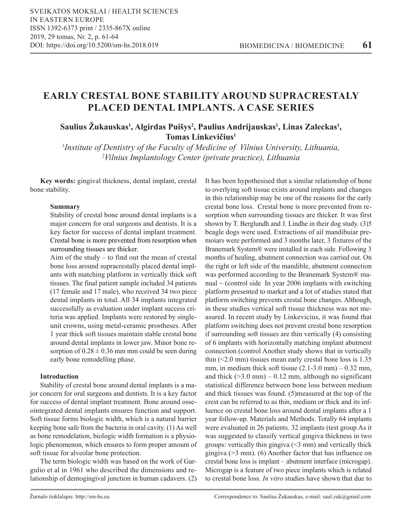# **EARLY CRESTAL BONE STABILITY AROUND SUPRACRESTALY PLACED DENTAL IMPLANTS. A CASE SERIES**

# **Saulius Žukauskas1 , Algirdas Puišys<sup>2</sup> , Paulius Andrijauskas<sup>1</sup> , Linas Zaleckas<sup>1</sup> , Tomas Linkevičius<sup>1</sup>**

*1 Institute of Dentistry of the Faculty of Medicine of Vilnius University, Lithuania, 2 Vilnius Implantology Center (private practice), Lithuania*

**Key words:** gingival thickness, dental implant, crestal bone stability.

# **Summary**

Stability of crestal bone around dental implants is a major concern for oral surgeons and dentists. It is a key factor for success of dental implant treatment. Crestal bone is more prevented from resorption when surrounding tissues are thicker.

Aim of the study – to find out the mean of crestal bone loss around supracrestally placed dental implants with matching platform in vertically thick soft tissues. The final patient sample included 34 patients (17 female and 17 male), who received 34 two piece dental implants in total. All 34 implants integrated successfully as evaluation under implant success criteria was applied. Implants were restored by singleunit crowns, using metal-ceramic prostheses. After 1 year thick soft tissues maintain stable crestal bone around dental implants in lower jaw. Minor bone resorption of  $0.28 \pm 0.36$  mm mm could be seen during early bone remodelling phase.

#### **Introduction**

Stability of crestal bone around dental implants is a major concern for oral surgeons and dentists. It is a key factor for success of dental implant treatment. Bone around osseointegrated dental implants ensures function and support. Soft tissue forms biologic width, which is a natural barrier keeping bone safe from the bacteria in oral cavity. (1) As well as bone remodelation, biologic width formation is a physiologic phenomenon, which ensures to form proper amount of soft tissue for alveolar bone protection.

The term biologic width was based on the work of Gargulio et al in 1961 who described the dimensions and relationship of dentogingival junction in human cadavers. (2) It has been hypothesised that a similar relationship of bone to overlying soft tissue exists around implants and changes in this relationship may be one of the reasons for the early crestal bone loss. Crestal bone is more prevented from resorption when surrounding tissues are thicker. It was first shown by T. Berglundh and J. Lindhe in their dog study. (3)5 beagle dogs were used. Extractions of ail mandibuiar premoiars were performed and 3 months later, 3 fixtures of the Branemark System® were installed in each side. Following 3 months of healing, abutment connection was carried out. On the right or left side of the mandible, abutment connection was performed according to the Branemark System® manual  $\sim$  (control side In year 2006 implants with switching platform presented to market and a lot of studies stated that platform switching prevents crestal bone changes. Although, in these studies vertical soft tissue thickness was not measured. In recent study by Linkevicius, it was found that platform switching does not prevent crestal bone resorption if surrounding soft tissues are thin vertically (4) consisting of 6 implants with horizontally matching implant abutment connection (control Another study shows that in vertically thin (<2.0 mm) tissues mean early crestal bone loss is 1.35 mm, in medium thick soft tissue  $(2.1-3.0 \text{ mm}) - 0.32 \text{ mm}$ , and thick  $(>=3.0 \text{ mm}) - 0.12 \text{ mm}$ , although no significant statistical difference between bone loss between medium and thick tissues was found. (5)measured at the top of the crest can be referred to as thin, medium or thick and its influence on crestal bone loss around dental implants after a 1 year follow-up. Materials and Methods. Totally 64 implants were evaluated in 26 patients. 32 implants (test group As it was suggested to classify vertical gingiva thickness in two groups: vertically thin gingiva  $($   $\leq$  3 mm) and vertically thick gingiva (>3 mm). (6) Another factor that has influence on crestal bone loss is implant – abutment interface (microgap). Microgap is a feature of two piece implants which is related to crestal bone loss. *In vitro* studies have shown that due to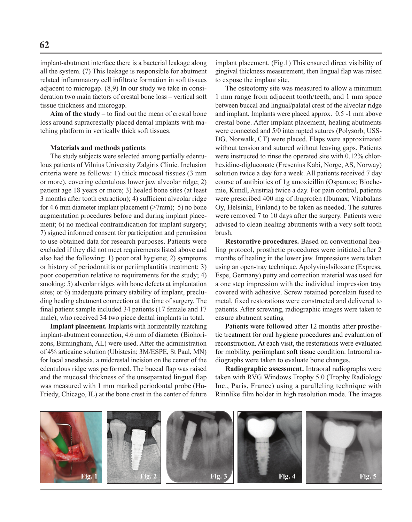implant-abutment interface there is a bacterial leakage along all the system. (7) This leakage is responsible for abutment related inflammatory cell infiltrate formation in soft tissues adjacent to microgap. (8,9) In our study we take in consideration two main factors of crestal bone loss – vertical soft tissue thickness and microgap.

**Aim of the study** – to find out the mean of crestal bone loss around supracrestally placed dental implants with matching platform in vertically thick soft tissues.

#### **Materials and methods patients**

The study subjects were selected among partially edentulous patients of Vilnius University Zalgiris Clinic. Inclusion criteria were as follows: 1) thick mucosal tissues (3 mm or more), covering edentulous lower jaw alveolar ridge; 2) patient age 18 years or more; 3) healed bone sites (at least 3 months after tooth extraction); 4) sufficient alveolar ridge for 4.6 mm diameter implant placement  $(>7mm)$ ; 5) no bone augmentation procedures before and during implant placement; 6) no medical contraindication for implant surgery; 7) signed informed consent for participation and permission to use obtained data for research purposes. Patients were excluded if they did not meet requirements listed above and also had the following: 1) poor oral hygiene; 2) symptoms or history of periodontitis or periimplantitis treatment; 3) poor cooperation relative to requirements for the study; 4) smoking; 5) alveolar ridges with bone defects at implantation sites; or 6) inadequate primary stability of implant, precluding healing abutment connection at the time of surgery. The final patient sample included 34 patients (17 female and 17 male), who received 34 two piece dental implants in total.

**Implant placement.** Implants with horizontally matching implant-abutment connection, 4.6 mm of diameter (Biohorizons, Birmingham, AL) were used. After the administration of 4% articaine solution (Ubistesin; 3M/ESPE, St Paul, MN) for local anesthesia, a midcrestal incision on the center of the edentulous ridge was performed. The buccal flap was raised and the mucosal thickness of the unseparated lingual flap was measured with 1 mm marked periodontal probe (Hu-Friedy, Chicago, IL) at the bone crest in the center of future implant placement. (Fig.1) This ensured direct visibility of gingival thickness measurement, then lingual flap was raised to expose the implant site.

The osteotomy site was measured to allow a minimum 1 mm range from adjacent tooth/teeth, and 1 mm space between buccal and lingual/palatal crest of the alveolar ridge and implant. Implants were placed approx. 0.5 -1 mm above crestal bone. After implant placement, healing abutments were connected and 5/0 interrupted sutures (Polysorb; USS-DG, Norwalk, CT) were placed. Flaps were approximated without tension and sutured without leaving gaps. Patients were instructed to rinse the operated site with 0.12% chlorhexidine-digluconate (Fresenius Kabi, Norge, AS, Norway) solution twice a day for a week. All patients received 7 day course of antibiotics of 1g amoxicillin (Ospamox; Biochemie, Kundl, Austria) twice a day. For pain control, patients were prescribed 400 mg of ibuprofen (Ibumax; Vitabalans Oy, Helsinki, Finland) to be taken as needed. The sutures were removed 7 to 10 days after the surgery. Patients were advised to clean healing abutments with a very soft tooth brush.

**Restorative procedures.** Based on conventional healing protocol, prosthetic procedures were initiated after 2 months of healing in the lower jaw. Impressions were taken using an open-tray technique. Apolyvinylsiloxane (Express, Espe, Germany) putty and correction material was used for a one step impression with the individual impression tray covered with adhesive. Screw retained porcelain fused to metal, fixed restorations were constructed and delivered to patients. After screwing, radiographic images were taken to ensure abutment seating

Patients were followed after 12 months after prosthetic treatment for oral hygiene procedures and evaluation of reconstruction. At each visit, the restorations were evaluated for mobility, periimplant soft tissue condition. Intraoral radiographs were taken to evaluate bone changes.

**Radiographic assessment.** Intraoral radiographs were taken with RVG Windows Trophy 5.0 (Trophy Radiology Inc., Paris, France) using a paralleling technique with Rinnlike film holder in high resolution mode. The images

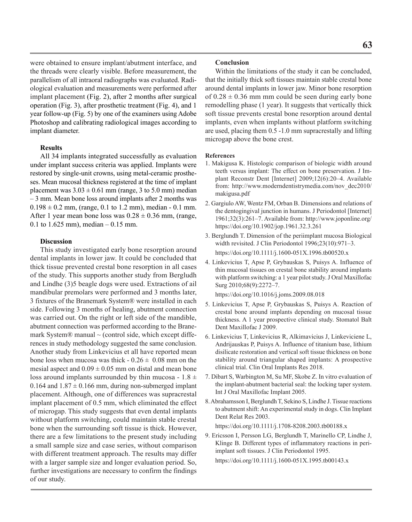were obtained to ensure implant/abutment interface, and the threads were clearly visible. Before measurement, the parallelism of all intraoral radiographs was evaluated. Radiological evaluation and measurements were performed after implant placement (Fig. 2), after 2 months after surgical operation (Fig. 3), after prosthetic treatment (Fig. 4), and 1 year follow-up (Fig. 5) by one of the examiners using Adobe Photoshop and calibrating radiological images according to implant diameter.

# **Results**

All 34 implants integrated successfully as evaluation under implant success criteria was applied. Implants were restored by single-unit crowns, using metal-ceramic prostheses. Mean mucosal thickness registered at the time of implant placement was  $3.03 \pm 0.61$  mm (range, 3 to 5.0 mm) median – 3 mm. Mean bone loss around implants after 2 months was  $0.198 \pm 0.2$  mm, (range, 0.1 to 1.2 mm), median - 0.1 mm. After 1 year mean bone loss was  $0.28 \pm 0.36$  mm, (range, 0.1 to  $1.625$  mm), median  $-0.15$  mm.

# **Discussion**

This study investigated early bone resorption around dental implants in lower jaw. It could be concluded that thick tissue prevented crestal bone resorption in all cases of the study. This supports another study from Bergludh and Lindhe (3)5 beagle dogs were used. Extractions of ail mandibular premolars were performed and 3 months later, 3 fixtures of the Branemark System® were installed in each side. Following 3 months of healing, abutment connection was carried out. On the right or left side of the mandible, abutment connection was performed according to the Branemark System® manual  $\sim$  (control side, which except differences in study methodology suggested the same conclusion. Another study from Linkevicius et all have reported mean bone loss when mucosa was thick  $-0.26 \pm 0.08$  mm on the mesial aspect and  $0.09 \pm 0.05$  mm on distal and mean bone loss around implants surrounded by thin mucosa -  $1.8 \pm$ 0.164 and  $1.87 \pm 0.166$  mm, during non-submerged implant placement. Although, one of differences was supracrestal implant placement of 0.5 mm, which eliminated the effect of microgap. This study suggests that even dental implants without platform switching, could maintain stable crestal bone when the surrounding soft tissue is thick. However, there are a few limitations to the present study including a small sample size and case series, without comparison with different treatment approach. The results may differ with a larger sample size and longer evaluation period. So, further investigations are necessary to confirm the findings of our study.

# **Conclusion**

Within the limitations of the study it can be concluded, that the initially thick soft tissues maintain stable crestal bone around dental implants in lower jaw. Minor bone resorption of  $0.28 \pm 0.36$  mm mm could be seen during early bone remodelling phase (1 year). It suggests that vertically thick soft tissue prevents crestal bone resorption around dental implants, even when implants without platform switching are used, placing them 0.5 -1.0 mm supracrestally and lifting microgap above the bone crest.

#### **References**

- 1. Makigusa K. Histologic comparison of biologic width around teeth versus implant: The effect on bone preservation. J Implant Reconstr Dent [Internet] 2009;12(6):20–4. Available from: http://www.moderndentistrymedia.com/nov\_dec2010/ makigusa.pdf
- 2. Gargiulo AW, Wentz FM, Orban B. Dimensions and relations of the dentogingival junction in humans. J Periodontol [Internet] 1961;32(3):261–7. Available from: http://www.joponline.org/ https://doi.org/10.1902/jop.1961.32.3.261
- 3. Berglundh T. Dimension of the periimplant mucosa Biological width revisited. J Clin Periodontol 1996;23(10):971–3. https://doi.org/10.1111/j.1600-051X.1996.tb00520.x
- 4. Linkevicius T, Apse P, Grybauskas S, Puisys A. Influence of thin mucosal tissues on crestal bone stability around implants with platform switching: a 1 year pilot study. J Oral Maxillofac Surg 2010;68(9):2272–7.

https://doi.org/10.1016/j.joms.2009.08.018

- 5. Linkevicius T, Apse P, Grybauskas S, Puisys A. Reaction of crestal bone around implants depending on mucosal tissue thickness. A 1 year prospective clinical study. Stomatol Balt Dent Maxillofac J 2009.
- 6. Linkevicius T, Linkevicius R, Alkimavicius J, Linkeviciene L, Andrijauskas P, Puisys A. Influence of titanium base, lithium disilicate restoration and vertical soft tissue thickness on bone stability around triangular shaped implants: A prospective clinical trial. Clin Oral Implants Res 2018.
- 7. Dibart S, Warbington M, Su MF, Skobe Z. In vitro evaluation of the implant-abutment bacterial seal: the locking taper system. Int J Oral Maxillofac Implant 2005.
- 8. Abrahamsson I, Berglundh T, Sekino S, Lindhe J. Tissue reactions to abutment shift: An experimental study in dogs. Clin Implant Dent Relat Res 2003.

https://doi.org/10.1111/j.1708-8208.2003.tb00188.x

9. Ericsson I, Persson LG, Berglundh T, Marinello CP, Lindhe J, Klinge B. Different types of inflammatory reactions in periimplant soft tissues. J Clin Periodontol 1995. https://doi.org/10.1111/j.1600-051X.1995.tb00143.x